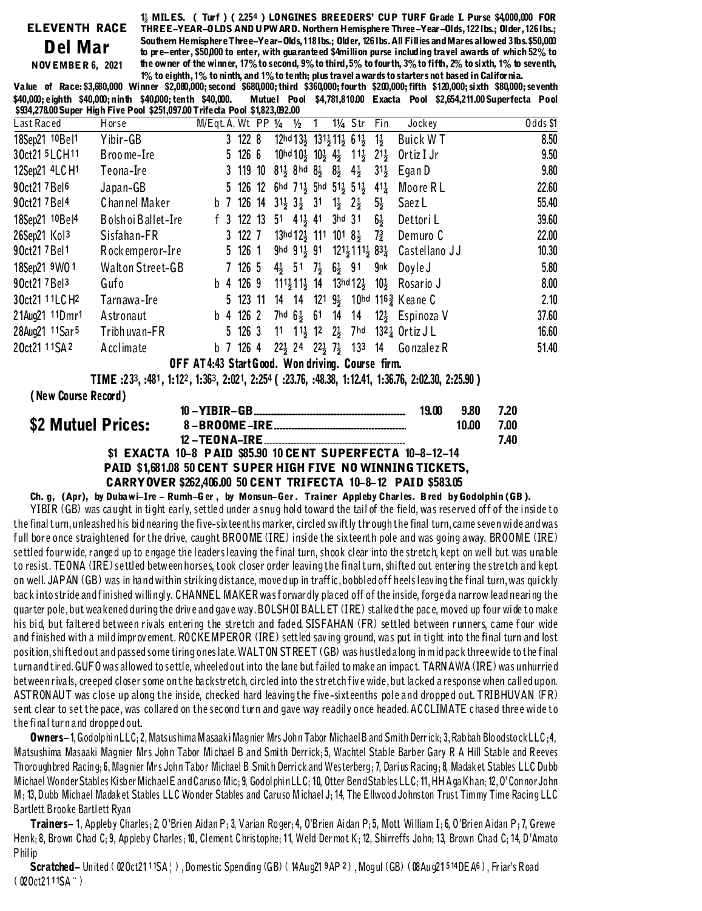## 1} MILES. ( Turf ) (2254 ) LONGINES BREEDERS' CUP TURF Grade L Purse \$4,000,000 FOR Del Mar **NOVEMBER 6, 2021**

ELEVENTH RACE THREE-YEAR-OLDS AND UPW ARD. Northern Hemisphere Three-Year-Olds, 122 lbs.; Older, 126 lbs.; Southern Hemisphere Three-Year-Olds, 118 lbs.; Older, 126 lbs. All Fillies and Mares allowed 3 lbs. \$50,000 to pre-enter, \$50,000 to enter, with guaranteed \$4million purse including travel awards of which 52% to the owner of the winner, 17% to second, 9% to third, 5% to four th, 3% to fifth, 2% to sixth, 1% to seventh, 1% to eighth, 1% to ninth, and 1% to tenth; plus travel a wards to starters not based in California.

Value of Race: \$3,680,000 Winner \$2,080,000; second \$680,000; third \$360,000; fourth \$200,000; fifth \$120,000; sixth \$80,000; seventh \$40,000; eighth \$40,000; ninth \$40,000; tenth \$40,000. Mutuel Pool \$4,781,810.00 Exacta Pool \$2,654,211.00 Superfecta Pool \$934,278.00 Super High Five Pool \$251,097.00 Trifecta Pool \$1,823,092.00

| Last Raced                 | Horse                                            | M/Eqt. A. Wt PP 1/4 |  |             |  |                                                                  | $\frac{1}{2}$ |  |  | 11/ <sub>4</sub> Str                                                                           | Fin             | Jockey                                                                                         | Odds \$1 |
|----------------------------|--------------------------------------------------|---------------------|--|-------------|--|------------------------------------------------------------------|---------------|--|--|------------------------------------------------------------------------------------------------|-----------------|------------------------------------------------------------------------------------------------|----------|
| 18Sep21 10Bel1             | Yibir-GB                                         |                     |  | 3 122 8     |  |                                                                  |               |  |  | $12hd13\frac{1}{2}$ $131\frac{1}{2}11\frac{1}{2}$ 61 $\frac{1}{2}$ 1 $\frac{1}{2}$             |                 | Buick WT                                                                                       | 8.50     |
| 30ct21 5LCH11              | Broome-Ire                                       |                     |  | 5 126 6     |  |                                                                  |               |  |  | $10hd10\frac{1}{2}$ $10\frac{1}{2}$ $4\frac{1}{2}$ $11\frac{1}{2}$ $21\frac{1}{2}$             |                 | Ortiz I Jr                                                                                     | 9.50     |
| 12Sep21 4LC H1             | Teona-Ire                                        |                     |  | 3 119 10    |  | $81\frac{1}{2}$ 8hd $8\frac{1}{2}$ $8\frac{1}{2}$ $4\frac{1}{2}$ |               |  |  |                                                                                                | $31\frac{1}{2}$ | Egan D                                                                                         | 9.80     |
| 90ct21 7 Bel <sup>6</sup>  | Japan-GB                                         |                     |  |             |  |                                                                  |               |  |  | 5 126 12 6hd 7 1 5hd 5 1 5 1 5 1 4 1 $\frac{1}{4}$                                             |                 | Moore R L                                                                                      | 22.60    |
| 90ct21 7 Bel 4             | Channel Maker                                    |                     |  |             |  |                                                                  |               |  |  | b 7 126 14 31 $\frac{1}{2}$ 3 $\frac{1}{2}$ 31 1 $\frac{1}{2}$ 2 $\frac{1}{2}$ 5 $\frac{1}{2}$ |                 | Saez L                                                                                         | 55.40    |
| 18Sep21 10Bel4             | Bolshoi Ballet-Ire                               |                     |  |             |  |                                                                  |               |  |  | f 3 122 13 51 4 1 <sup>1</sup> / <sub>3</sub> 41 3hd 31                                        |                 | $6\frac{1}{2}$ Dettori L                                                                       | 39.60    |
| 26Sep21 Kol3               | Sisfahan-FR                                      |                     |  | 3 122 7     |  |                                                                  |               |  |  | $13$ hd 12 $\frac{1}{2}$ 111 101 8 $\frac{1}{2}$ 7 $\frac{3}{4}$                               |                 | Demuro C                                                                                       | 22.00    |
| 90ct21 7 Bel 1             | Rockemperor-Ire                                  |                     |  | 5 126 1     |  | ghd 911 91                                                       |               |  |  | 1214 1114 83 <u>4</u>                                                                          |                 | Castellano JJ                                                                                  | 10.30    |
| 18Sep21 9W0 1              | Walton Street-GB                                 |                     |  | 7 126 5     |  | $4\frac{1}{2}$ 51 7 $\frac{1}{2}$ 6 $\frac{1}{2}$ 91             |               |  |  |                                                                                                | gnk             | Doyle J                                                                                        | 5.80     |
| 90ct21 7 Bel <sup>3</sup>  | Gufo                                             |                     |  | $b$ 4 126 9 |  |                                                                  |               |  |  |                                                                                                |                 | $111\frac{1}{2}11\frac{1}{2}$ 14 $13$ hd 12 $\frac{1}{2}$ 10 $\frac{1}{2}$ Rosario J           | 8.00     |
| 30ct21 11LC H <sub>2</sub> | Tarnawa-Ire                                      |                     |  |             |  |                                                                  |               |  |  |                                                                                                |                 | 5 123 11 14 14 121 9 10hd 116 3 Keane C                                                        | 2.10     |
| 21Aug21 11Dmr1             | Astronaut                                        |                     |  | b 4 126 2   |  |                                                                  |               |  |  |                                                                                                |                 | 7hd $6\frac{1}{2}$ 61 14 14 12 <sup>1</sup> / <sub>2</sub> Espinoza V                          | 37.60    |
| 28Aug21 11Sar5             | Tribhuvan-FR                                     |                     |  |             |  | 5 126 3 11 1 1 $\frac{1}{2}$ 12 2 $\frac{1}{2}$ 7 hd             |               |  |  |                                                                                                |                 | $132\frac{1}{4}$ Ortiz J L                                                                     | 16.60    |
| 20ct21 11SA 2              | Acclimate                                        |                     |  | b 7 126 4   |  |                                                                  |               |  |  |                                                                                                |                 | $22\frac{1}{2}$ 24 $22\frac{1}{2}$ 7 <sup>1</sup> / <sub>2</sub> 13 <sup>3</sup> 14 Gonzalez R | 51.40    |
|                            | OFF AT4:43 Start Good. Won driving. Course firm. |                     |  |             |  |                                                                  |               |  |  |                                                                                                |                 |                                                                                                |          |

TIME :233, :481, 1:122, 1:363, 2:021, 2:254 (:23.76, :48.38, 1:12.41, 1:36.76, 2:02.30, 2:25.90)

## (New Course Record)

\$2

|                |                                                                   | 19.00 | 9.80  | 7.20 |
|----------------|-------------------------------------------------------------------|-------|-------|------|
| Mutuel Prices: |                                                                   |       | 10.00 | 7.00 |
|                | 12 - TEON A-IRE                                                   |       |       | 7.40 |
|                | \$1 EXACTA 10-8 PAID \$85.90 10 CENT SUPERFECTA 10-8-12-14        |       |       |      |
|                | <b>DAIN \$1 631 08 50 CENT SUDER HIGH FIVE NO WINNING TICKETS</b> |       |       |      |

## \$1,681.08 50 CENT SUPER HIGH FIVE NO WINNING TICKETS, CARRYOVER \$262,406.00 50 CENT TRIFECTA 10-8-12 PAID \$583.05

Ch. g, (Apr), by Dubawi-Ire - Rumh-Ger, by Monsun-Ger. Trainer Appleby Charles. Bred by Godolphin (GB).

YIBIR (GB) was caught in tight early, settled under a snug hold toward the tail of the field, was reserved off of the inside to the final turn, unleashed his bid nearing the five-sixteenths marker, circled swiftly through the final turn, came seven wide and was full bore once straightened for the drive, caught BROOME (IRE) inside the sixteenth pole and was going away. BROOME (IRE) settled fourwide, ranged up to engage the leaders leaving the final turn, shook clear into the stretch, kept on well but was unable to resist. TEONA (IRE) settled between horses, took closer order leaving the final turn, shifted out entering the stretch and kept on well. JAPAN (GB) was in hand within striking distance, moved up in traffic, bobbled off heels leaving the final turn, was quickly back into stride and finished willingly. CHANNEL MAKER was forwardly placed off of the inside, forgeda narrow lead nearing the quarter pole, but weakened during the drive and gave way. BOLSHOI BALLET (IRE) stalked the pace, moved up four wide to make his bid, but faltered between rivals entering the stretch and faded SISFAHAN (FR) settled between runners, came four wide and finished with a mildimprovement. ROCKEMPEROR (IRE) settled saving ground, was put in tight into the final turn and lost position, shifted out and passed some tiring ones late. WALTON STREET (GB) was hustled along in mid pack three wide to the final turn and tired. GUFO was allowed to settle, wheeled out into the lane but failed to make an impact. TARNAWA (IRE) was unhurried between rivals, creeped closer some on the backstretch, circled into the stretch five wide, but lacked a response when called upon. ASTRONAUT was close up along the inside, checked hard leaving the five-sixteenths pole and dropped out. TRIBHUVAN (FR) sent clear to set the pace, was collared on the second turn and gave way readily once headed. ACCLIMATE chased three wide to the final turn and dropped out.

**Owners-1,** Godolphin LLC; 2, Matsushima Masaaki Magnier Mrs John Tabor Michael B and Smith Derrick; 3, Rabbah Bloodstock LLC; 4, Matsushima Masaaki Magnier Mrs John Tabor Michael B and Smith Derrick; 5, Wachtel Stable Barber Gary R A Hill Stable and Reeves Thoroughbred Racing; 6, Magnier Mrs John Tabor Michael B Smith Derrick and Westerberg; 7, Darius Racing; 8, Madaket Stables LLC Dubb Michael Wonder Stables Kisber Michael Eand Caruso Mic; 9, Godolphin LLC; 10, Otter Bend Stables LLC; 11, HH Aga Khan; 12, O'Connor John M; 13, Dubb Michael Madaket Stables LLC Wonder Stables and Caruso Michael J; 14, The Ellwood Johnston Trust Timmy Time Racing LLC Bartlett Brooke Bartlett Ryan

Trainers- 1, Appleby Charles; 2, 0'Brien Aidan P; 3, Varian Roger; 4, 0'Brien Aidan P; 5, Mott William I; 6, 0'Brien Aidan P; 7, Grewe Henk: 8, Brown Chad C: 9, Appleby Charles: 10, Clement Christophe: 11, Weld Dermot K: 12, Shirreffs John: 13, Brown Chad C: 14, D'Amato Philip

Scratched–United (Q2Oct2111SA | ), Domestic Spending (GB) (14Aug219AP 2), Mogul (GB) (Q8Aug21514DEA6), Friar's Road  $(020ct2111SA^{-1})$